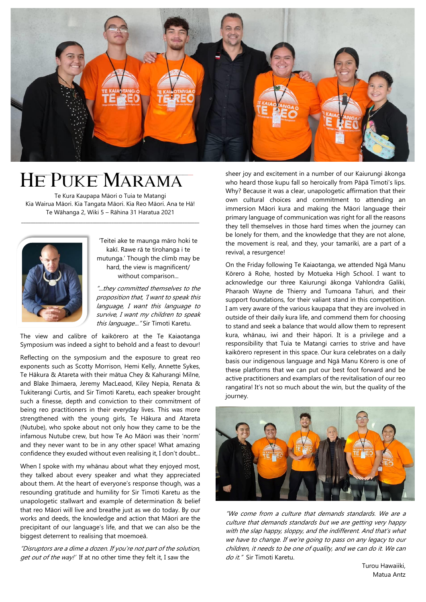

# He Puke Marama

Te Kura Kaupapa Māori o Tuia te Matangi Kia Wairua Māori. Kia Tangata Māori. Kia Reo Māori. Ana te Hā! Te Wāhanga 2, Wiki 5 – Rāhina 31 Haratua 2021

\_\_\_\_\_\_\_\_\_\_\_\_\_\_\_\_\_\_\_\_\_\_\_\_\_\_\_\_\_\_\_\_\_\_\_\_\_\_\_\_\_\_\_\_\_\_\_\_\_\_\_\_\_\_\_\_\_\_\_\_\_\_\_\_\_\_\_\_\_\_\_\_\_\_\_



'Teitei ake te maunga māro hoki te kakī. Rawe rā te tirohanga i te mutunga.' Though the climb may be hard, the view is magnificent/ without comparison...

"...they committed themselves to the proposition that, 'I want to speak this language, I want this language to survive, I want my children to speak this language... "Sir Timoti Karetu.

The view and calibre of kaikōrero at the Te Kaiaotanga Symposium was indeed a sight to behold and a feast to devour!

Reflecting on the symposium and the exposure to great reo exponents such as Scotty Morrison, Hemi Kelly, Annette Sykes, Te Hākura & Atareta with their mātua Chey & Kahurangi Milne, and Blake Ihimaera, Jeremy MacLeaod, Kiley Nepia, Renata & Tukiterangi Curtis, and Sir Timoti Karetu, each speaker brought such a finesse, depth and conviction to their commitment of being reo practitioners in their everyday lives. This was more strengthened with the young girls, Te Hākura and Atareta (Nutube), who spoke about not only how they came to be the infamous Nutube crew, but how Te Ao Māori was their 'norm' and they never want to be in any other space! What amazing confidence they exuded without even realising it, I don't doubt...

When I spoke with my whānau about what they enjoyed most, they talked about every speaker and what they appreciated about them. At the heart of everyone's response though, was a resounding gratitude and humility for Sir Timoti Karetu as the unapologetic stallwart and example of determination & belief that reo Māori will live and breathe just as we do today. By our works and deeds, the knowledge and action that Māori are the precipitant of our language's life, and that we can also be the biggest deterrent to realising that moemoeā.

"Disruptors are a dime a dozen. If you're not part of the solution, get out of the way!' If at no other time they felt it, I saw the

sheer joy and excitement in a number of our Kaiurungi ākonga who heard those kupu fall so heroically from Pāpā Timoti's lips. Why? Because it was a clear, unapologetic affirmation that their own cultural choices and commitment to attending an immersion Māori kura and making the Māori language their primary language of communication was right for all the reasons they tell themselves in those hard times when the journey can be lonely for them, and the knowledge that they are not alone, the movement is real, and they, your tamariki, are a part of a revival, a resurgence!

On the Friday following Te Kaiaotanga, we attended Ngā Manu Kōrero ā Rohe, hosted by Motueka High School. I want to acknowledge our three Kaiurungi ākonga Vahlondra Galiki, Pharaoh Wayne de Thierry and Tumoana Tahuri, and their support foundations, for their valiant stand in this competition. I am very aware of the various kaupapa that they are involved in outside of their daily kura life, and commend them for choosing to stand and seek a balance that would allow them to represent kura, whānau, iwi and their hāpori. It is a privilege and a responsibility that Tuia te Matangi carries to strive and have kaikōrero represent in this space. Our kura celebrates on a daily basis our indigenous language and Ngā Manu Kōrero is one of these platforms that we can put our best foot forward and be active practitioners and examplars of the revitalisation of our reo rangatira! It's not so much about the win, but the quality of the journey.



"We come from a culture that demands standards. We are a culture that demands standards but we are getting very happy with the slap happy, sloppy, and the indifferent. And that's what we have to change. If we're going to pass on any legacy to our children, it needs to be one of quality, and we can do it. We can do it." Sir Timoti Karetu.

> Turou Hawaiiki, Matua Antz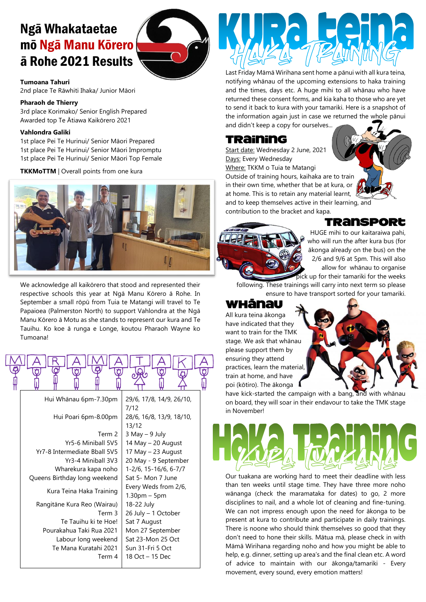# Ngā Whakataetae mō Ngā Manu Kōrero ā Rohe 2021 Results



### **Tumoana Tahuri**

2nd place Te Rāwhiti Ihaka/ Junior Māori

#### **Pharaoh de Thierry**

3rd place Korimako/ Senior English Prepared Awarded top Te Ātiawa Kaikōrero 2021

#### **Vahlondra Galiki**

1st place Pei Te Hurinui/ Senior Māori Prepared 1st place Pei Te Hurinui/ Senior Māori Impromptu 1st place Pei Te Hurinui/ Senior Māori Top Female

**TKKMoTTM** | Overall points from one kura



We acknowledge all kaikōrero that stood and represented their respective schools this year at Ngā Manu Kōrero ā Rohe. In September a small rōpū from Tuia te Matangi will travel to Te Papaioea (Palmerston North) to support Vahlondra at the Ngā Manu Kōrero ā Motu as she stands to represent our kura and Te Tauihu. Ko koe ā runga e Longe, koutou Pharaoh Wayne ko Tumoana!



Last Friday Māmā Wirihana sent home a pānui with all kura teina, notifying whānau of the upcoming extensions to haka training and the times, days etc. A huge mihi to all whānau who have returned these consent forms, and kia kaha to those who are yet to send it back to kura with your tamariki. Here is a snapshot of the information again just in case we returned the whole pānui and didn't keep a copy for ourselves...

# Training

Start date: Wednesday 2 June, 2021 Days: Every Wednesday Where: TKKM o Tuia te Matangi Outside of training hours, kaihaka are to train in their own time, whether that be at kura, or at home. This is to retain any material learnt, and to keep themselves active in their learning, and contribution to the bracket and kapa.



Transport

HUGE mihi to our kaitaraiwa pahi, who will run the after kura bus (for ākonga already on the bus) on the 2/6 and 9/6 at 5pm. This will also allow for whānau to organise pick up for their tamariki for the weeks

following. These trainings will carry into next term so please ensure to have transport sorted for your tamariki.

# Whānau

All kura teina ākonga have indicated that they want to train for the TMK stage. We ask that whānau please support them by ensuring they attend practices, learn the material, train at home, and have poi (kōtiro). The ākonga

have kick-started the campaign with a bang, and with whānau on board, they will soar in their endavour to take the TMK stage in November!



Our tuakana are working hard to meet their deadline with less than ten weeks until stage time. They have three more noho wānanga (check the maramataka for dates) to go, 2 more disciplines to nail, and a whole lot of cleaning and fine-tuning. We can not impress enough upon the need for ākonga to be present at kura to contribute and participate in daily trainings. There is noone who should think themselves so good that they don't need to hone their skills. Mātua mā, please check in with Māmā Wirihana regarding noho and how you might be able to help, e.g. dinner, setting up area's and the final clean etc. A word of advice to maintain with our ākonga/tamariki - Every movement, every sound, every emotion matters!